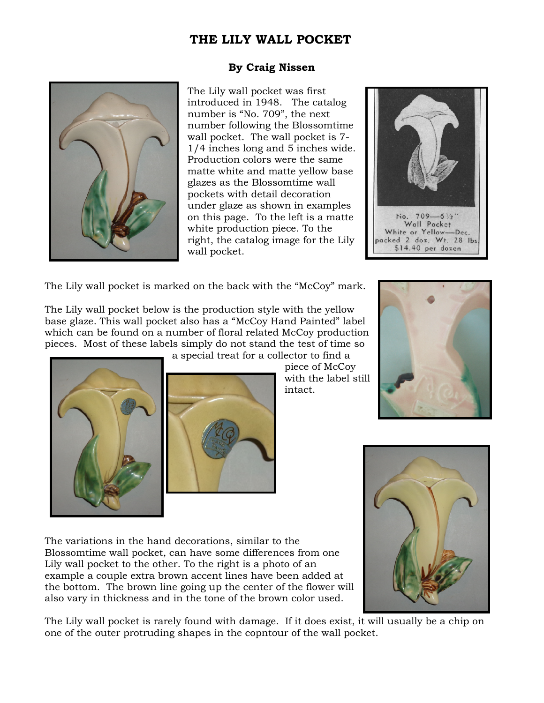## **THE LILY WALL POCKET**

## **By Craig Nissen**



The Lily wall pocket was first introduced in 1948. The catalog number is "No. 709", the next number following the Blossomtime wall pocket. The wall pocket is 7- 1/4 inches long and 5 inches wide. Production colors were the same matte white and matte yellow base glazes as the Blossomtime wall pockets with detail decoration under glaze as shown in examples on this page. To the left is a matte white production piece. To the right, the catalog image for the Lily wall pocket.



The Lily wall pocket is marked on the back with the "McCoy" mark.

The Lily wall pocket below is the production style with the yellow base glaze. This wall pocket also has a "McCoy Hand Painted" label which can be found on a number of floral related McCoy production pieces. Most of these labels simply do not stand the test of time so

a special treat for a collector to find a





piece of McCoy with the label still intact.



The variations in the hand decorations, similar to the Blossomtime wall pocket, can have some differences from one Lily wall pocket to the other. To the right is a photo of an example a couple extra brown accent lines have been added at the bottom. The brown line going up the center of the flower will also vary in thickness and in the tone of the brown color used.



The Lily wall pocket is rarely found with damage. If it does exist, it will usually be a chip on one of the outer protruding shapes in the copntour of the wall pocket.